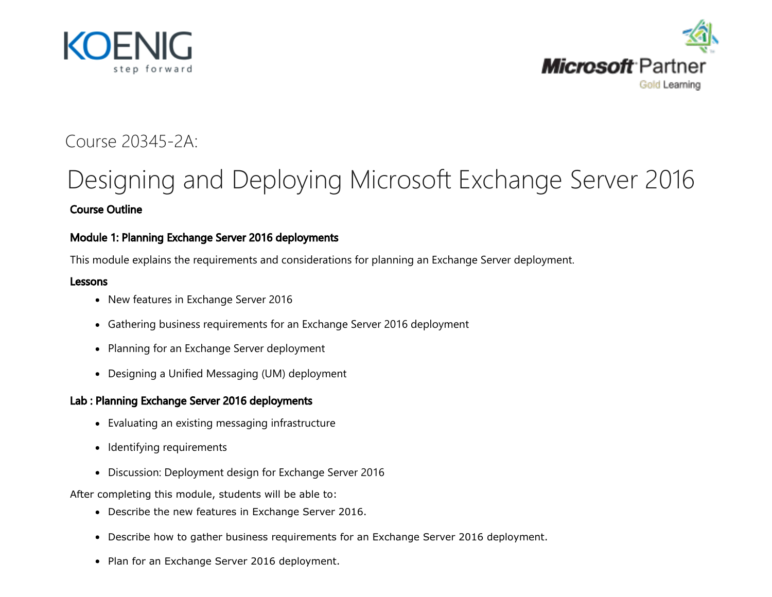



## Course 20345-2A:

# <span id="page-0-0"></span>[Designing and Deploying Microsoft Exchange Server](#page-0-0) 2016 Course Outline

## Module 1: Planning Exchange Server 2016 deployments

This module explains the requirements and considerations for planning an Exchange Server deployment.

#### Lessons

- New features in Exchange Server 2016
- Gathering business requirements for an Exchange Server 2016 deployment
- Planning for an Exchange Server deployment
- Designing a Unified Messaging (UM) deployment

#### Lab : Planning Exchange Server 2016 deployments

- Evaluating an existing messaging infrastructure
- Identifying requirements
- Discussion: Deployment design for Exchange Server 2016

After completing this module, students will be able to:

- Describe the new features in Exchange Server 2016.
- Describe how to gather business requirements for an Exchange Server 2016 deployment.
- Plan for an Exchange Server 2016 deployment.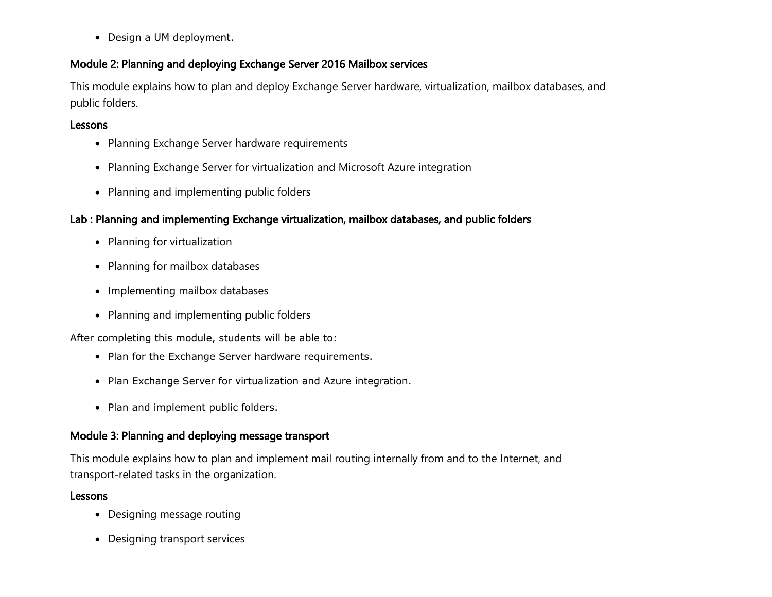Design a UM deployment.

## Module 2: Planning and deploying Exchange Server 2016 Mailbox services

This module explains how to plan and deploy Exchange Server hardware, virtualization, mailbox databases, and public folders.

## Lessons

- Planning Exchange Server hardware requirements
- Planning Exchange Server for virtualization and Microsoft Azure integration
- Planning and implementing public folders

## Lab : Planning and implementing Exchange virtualization, mailbox databases, and public folders

- Planning for virtualization
- Planning for mailbox databases
- Implementing mailbox databases
- Planning and implementing public folders

After completing this module, students will be able to:

- Plan for the Exchange Server hardware requirements.
- Plan Exchange Server for virtualization and Azure integration.
- Plan and implement public folders.

## Module 3: Planning and deploying message transport

This module explains how to plan and implement mail routing internally from and to the Internet, and transport-related tasks in the organization.

#### Lessons

- Designing message routing
- Designing transport services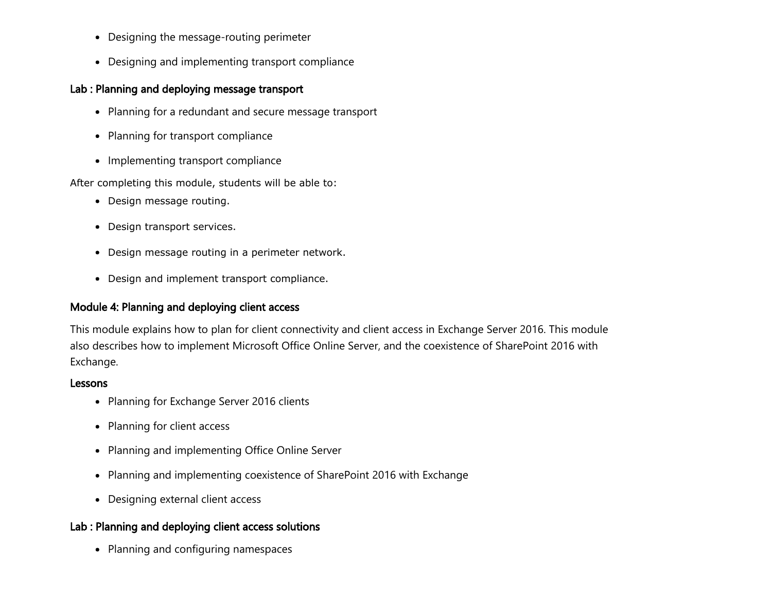- Designing the message-routing perimeter
- Designing and implementing transport compliance

## Lab : Planning and deploying message transport

- Planning for a redundant and secure message transport
- Planning for transport compliance
- Implementing transport compliance

After completing this module, students will be able to:

- Design message routing.
- Design transport services.
- Design message routing in a perimeter network.
- Design and implement transport compliance.

## Module 4: Planning and deploying client access

This module explains how to plan for client connectivity and client access in Exchange Server 2016. This module also describes how to implement Microsoft Office Online Server, and the coexistence of SharePoint 2016 with Exchange.

#### Lessons

- Planning for Exchange Server 2016 clients
- Planning for client access
- Planning and implementing Office Online Server
- Planning and implementing coexistence of SharePoint 2016 with Exchange
- Designing external client access

## Lab : Planning and deploying client access solutions

• Planning and configuring namespaces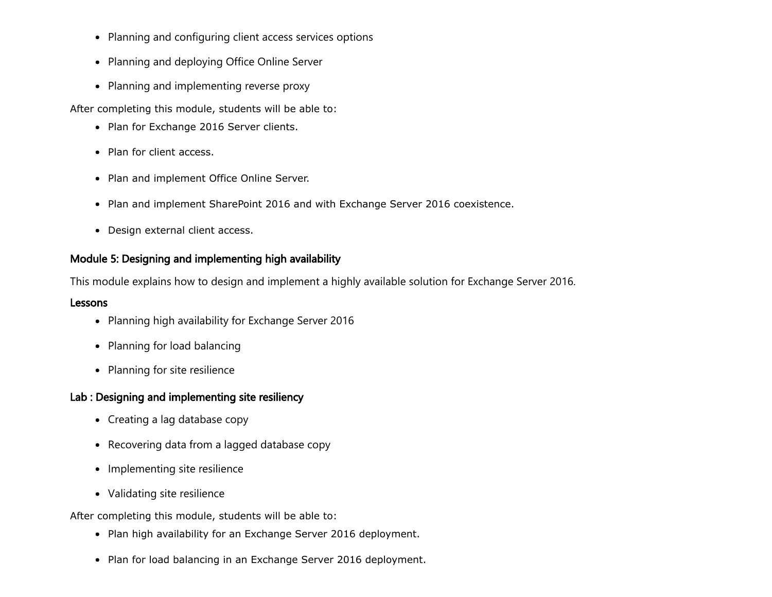- Planning and configuring client access services options
- Planning and deploying Office Online Server
- Planning and implementing reverse proxy

After completing this module, students will be able to:

- Plan for Exchange 2016 Server clients.
- Plan for client access.
- Plan and implement Office Online Server.
- Plan and implement SharePoint 2016 and with Exchange Server 2016 coexistence.
- Design external client access.

## Module 5: Designing and implementing high availability

This module explains how to design and implement a highly available solution for Exchange Server 2016.

#### Lessons

- Planning high availability for Exchange Server 2016
- Planning for load balancing
- Planning for site resilience

## Lab : Designing and implementing site resiliency

- Creating a lag database copy
- Recovering data from a lagged database copy
- Implementing site resilience
- Validating site resilience

After completing this module, students will be able to:

- Plan high availability for an Exchange Server 2016 deployment.
- Plan for load balancing in an Exchange Server 2016 deployment.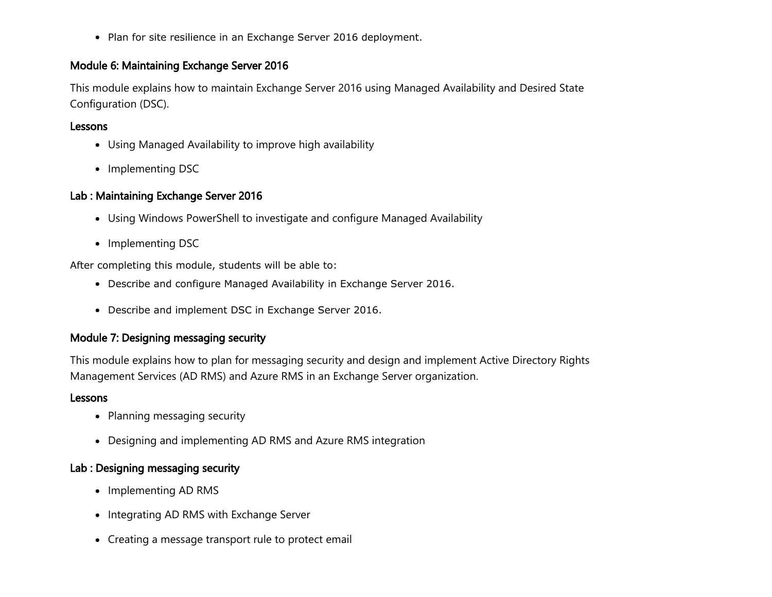• Plan for site resilience in an Exchange Server 2016 deployment.

#### Module 6: Maintaining Exchange Server 2016

This module explains how to maintain Exchange Server 2016 using Managed Availability and Desired State Configuration (DSC).

#### Lessons

- Using Managed Availability to improve high availability
- Implementing DSC

#### Lab : Maintaining Exchange Server 2016

- Using Windows PowerShell to investigate and configure Managed Availability
- Implementing DSC

After completing this module, students will be able to:

- Describe and configure Managed Availability in Exchange Server 2016.
- Describe and implement DSC in Exchange Server 2016.

#### Module 7: Designing messaging security

This module explains how to plan for messaging security and design and implement Active Directory Rights Management Services (AD RMS) and Azure RMS in an Exchange Server organization.

#### Lessons

- Planning messaging security
- Designing and implementing AD RMS and Azure RMS integration

#### Lab : Designing messaging security

- Implementing AD RMS
- Integrating AD RMS with Exchange Server
- Creating a message transport rule to protect email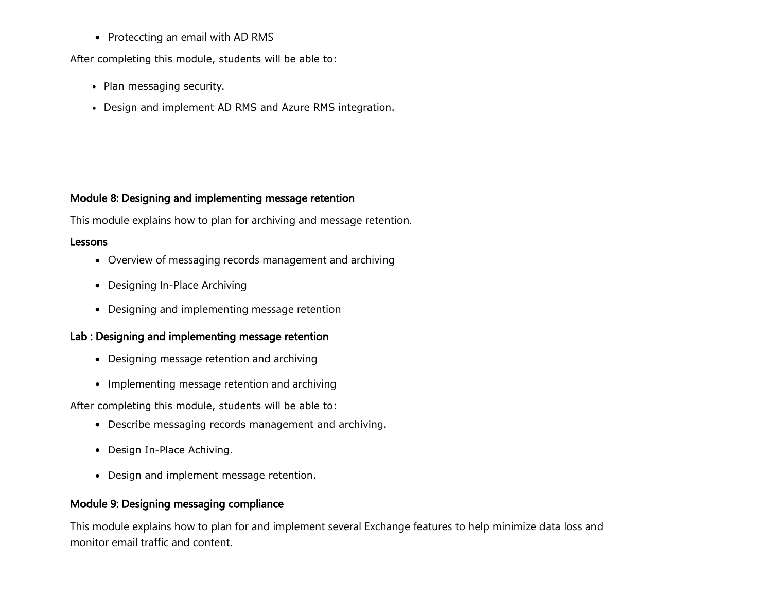• Proteccting an email with AD RMS

After completing this module, students will be able to:

- Plan messaging security.
- Design and implement AD RMS and Azure RMS integration.

#### Module 8: Designing and implementing message retention

This module explains how to plan for archiving and message retention.

#### Lessons

- Overview of messaging records management and archiving
- Designing In-Place Archiving
- Designing and implementing message retention

## Lab : Designing and implementing message retention

- Designing message retention and archiving
- Implementing message retention and archiving

After completing this module, students will be able to:

- Describe messaging records management and archiving.
- Design In-Place Achiving.
- Design and implement message retention.

## Module 9: Designing messaging compliance

This module explains how to plan for and implement several Exchange features to help minimize data loss and monitor email traffic and content.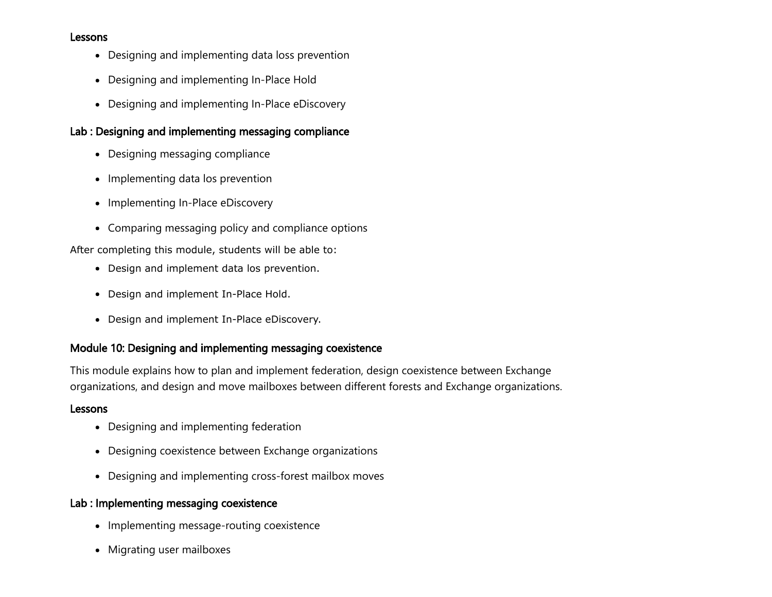#### Lessons

- Designing and implementing data loss prevention
- Designing and implementing In-Place Hold
- Designing and implementing In-Place eDiscovery

## Lab : Designing and implementing messaging compliance

- Designing messaging compliance
- Implementing data los prevention
- Implementing In-Place eDiscovery
- Comparing messaging policy and compliance options

After completing this module, students will be able to:

- Design and implement data los prevention.
- Design and implement In-Place Hold.
- Design and implement In-Place eDiscovery.

#### Module 10: Designing and implementing messaging coexistence

This module explains how to plan and implement federation, design coexistence between Exchange organizations, and design and move mailboxes between different forests and Exchange organizations.

#### Lessons

- Designing and implementing federation
- Designing coexistence between Exchange organizations
- Designing and implementing cross-forest mailbox moves

#### Lab : Implementing messaging coexistence

- Implementing message-routing coexistence
- Migrating user mailboxes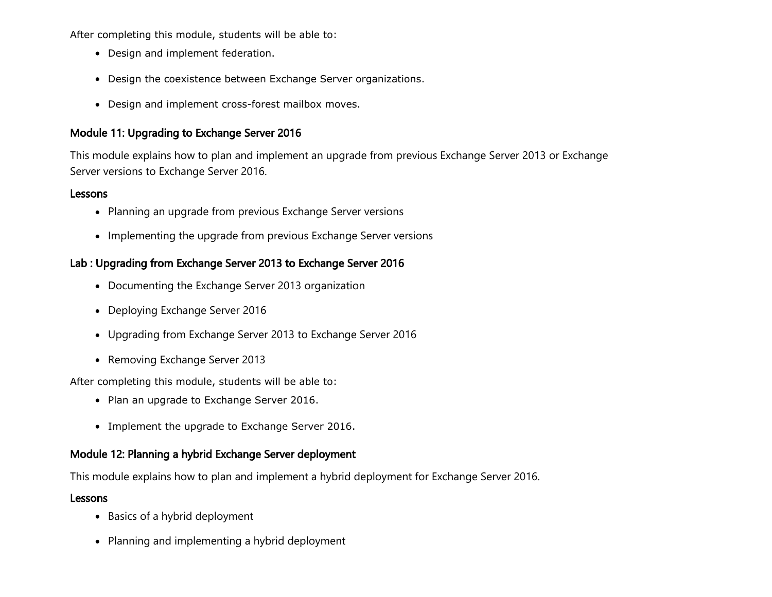After completing this module, students will be able to:

- Design and implement federation.
- Design the coexistence between Exchange Server organizations.
- Design and implement cross-forest mailbox moves.

#### Module 11: Upgrading to Exchange Server 2016

This module explains how to plan and implement an upgrade from previous Exchange Server 2013 or Exchange Server versions to Exchange Server 2016.

#### Lessons

- Planning an upgrade from previous Exchange Server versions
- Implementing the upgrade from previous Exchange Server versions

#### Lab : Upgrading from Exchange Server 2013 to Exchange Server 2016

- Documenting the Exchange Server 2013 organization
- Deploying Exchange Server 2016
- Upgrading from Exchange Server 2013 to Exchange Server 2016
- Removing Exchange Server 2013

After completing this module, students will be able to:

- Plan an upgrade to Exchange Server 2016.
- Implement the upgrade to Exchange Server 2016.

#### Module 12: Planning a hybrid Exchange Server deployment

This module explains how to plan and implement a hybrid deployment for Exchange Server 2016.

#### Lessons

- Basics of a hybrid deployment
- Planning and implementing a hybrid deployment